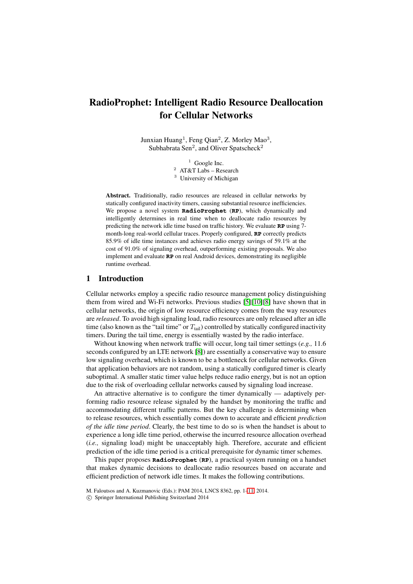# **RadioProphet: Intelligent Radio Resource Deallocation for Cellular Networks**

Junxian Huang<sup>1</sup>, Feng Qian<sup>2</sup>, Z. Morley Mao<sup>3</sup>, Subhabrata Sen<sup>2</sup>, and Oliver Spatscheck<sup>2</sup>

> $1$  Google Inc. <sup>2</sup> AT&T Labs – Research <sup>3</sup> University of Michigan

**Abstract.** Traditionally, radio resources are released in cellular networks by statically configured inactivity timers, causing substantial resource inefficiencies. We propose a novel system **RadioProphet** (**RP**), which dynamically and intelligently determines in real time when to deallocate radio resources by predicting the network idle time based on traffic history. We evaluate **RP** using 7 month-long real-world cellular traces. Properly configured, **RP** correctly predicts 85.9% of idle time instances and achieves radio energy savings of 59.1% at the cost of 91.0% of signaling overhead, outperforming existing proposals. We also implement and evaluate **RP** on real Android devices, demonstrating its negligible runtime overhead.

# **1 Introduction**

Cellular networks employ a specific radio resource management policy distinguishing them from wired and Wi-Fi networks. Previous studies [\[5\]](#page-10-0)[\[10\]](#page-10-1)[\[8\]](#page-10-2) have shown that in cellular networks, the origin of low resource efficiency comes from the way resources are *released*. To avoid high signaling load, radio resources are only released after an idle time (also known as the "tail time" or  $T_{tail}$ ) controlled by statically configured inactivity timers. During the tail time, energy is essentially wasted by the radio interface.

Without knowing when network traffic will occur, long tail timer settings (*e.g.,* 11.6 seconds configured by an LTE network [\[8\]](#page-10-2)) are essentially a conservative way to ensure low signaling overhead, which is known to be a bottleneck for cellular networks. Given that application behaviors are not random, using a statically configured timer is clearly suboptimal. A smaller static timer value helps reduce radio energy, but is not an option due to the risk of overloading cellular networks caused by signaling load increase.

An attractive alternative is to configure the timer dynamically — adaptively performing radio resource release signaled by the handset by monitoring the traffic and accommodating different traffic patterns. But the key challenge is determining when to release resources, which essentially comes down to accurate and efficient *prediction of the idle time period*. Clearly, the best time to do so is when the handset is about to experience a long idle time period, otherwise the incurred resource allocation overhead (*i.e.,* signaling load) might be unacceptably high. Therefore, accurate and efficient prediction of the idle time period is a critical prerequisite for dynamic timer schemes.

This paper proposes **RadioProphet** (**RP**), a practical system running on a handset that makes dynamic decisions to deallocate radio resources based on accurate and efficient prediction of network idle times. It makes the following contributions.

M. Faloutsos and A. Kuzmanovic (Eds.): PAM 2014, LNCS 8362, pp. 1[–11,](#page-10-3) 2014.

<sup>-</sup>c Springer International Publishing Switzerland 2014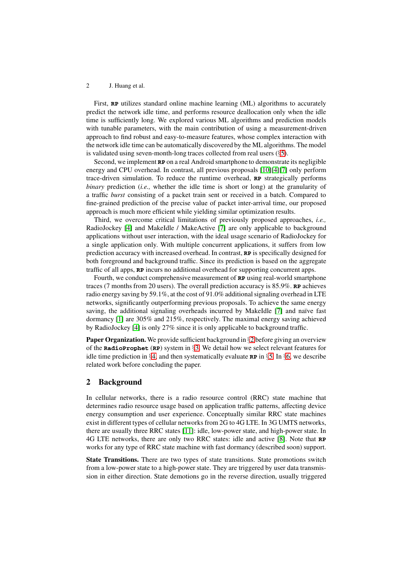First, **RP** utilizes standard online machine learning (ML) algorithms to accurately predict the network idle time, and performs resource deallocation only when the idle time is sufficiently long. We explored various ML algorithms and prediction models with tunable parameters, with the main contribution of using a measurement-driven approach to find robust and easy-to-measure features, whose complex interaction with the network idle time can be automatically discovered by the ML algorithms. The model is validated using seven-month-long traces collected from real users (§[5\)](#page-5-0).

Second, we implement **RP** on a real Android smartphone to demonstrate its negligible energy and CPU overhead. In contrast, all previous proposals [\[10\]](#page-10-1)[\[4\]](#page-10-4)[\[7\]](#page-10-5) only perform trace-driven simulation. To reduce the runtime overhead, **RP** strategically performs *binary* prediction (*i.e.,* whether the idle time is short or long) at the granularity of a traffic *burst* consisting of a packet train sent or received in a batch. Compared to fine-grained prediction of the precise value of packet inter-arrival time, our proposed approach is much more efficient while yielding similar optimization results.

Third, we overcome critical limitations of previously proposed approaches, *i.e.,* RadioJockey [\[4\]](#page-10-4) and MakeIdle / MakeActive [\[7\]](#page-10-5) are only applicable to background applications without user interaction, with the ideal usage scenario of RadioJockey for a single application only. With multiple concurrent applications, it suffers from low prediction accuracy with increased overhead. In contrast, **RP** is specifically designed for both foreground and background traffic. Since its prediction is based on the aggregate traffic of all apps, **RP** incurs no additional overhead for supporting concurrent apps.

Fourth, we conduct comprehensive measurement of **RP** using real-world smartphone traces (7 months from 20 users). The overall prediction accuracy is 85.9%. **RP** achieves radio energy saving by 59.1%, at the cost of 91.0% additional signaling overhead in LTE networks, significantly outperforming previous proposals. To achieve the same energy saving, the additional signaling overheads incurred by MakeIdle [\[7\]](#page-10-5) and naïve fast dormancy [\[1\]](#page-10-6) are 305% and 215%, respectively. The maximal energy saving achieved by RadioJockey [\[4\]](#page-10-4) is only 27% since it is only applicable to background traffic.

**Paper Organization.** We provide sufficient background in §[2](#page-1-0) before giving an overview of the **RadioProphet** (**RP**) system in §[3.](#page-2-0) We detail how we select relevant features for idle time prediction in §[4,](#page-3-0) and then systematically evaluate **RP** in §[5.](#page-5-0) In §[6,](#page-9-0) we describe related work before concluding the paper.

## <span id="page-1-0"></span>**2 Background**

In cellular networks, there is a radio resource control (RRC) state machine that determines radio resource usage based on application traffic patterns, affecting device energy consumption and user experience. Conceptually similar RRC state machines exist in different types of cellular networks from 2G to 4G LTE. In 3G UMTS networks, there are usually three RRC states [\[11\]](#page-10-7): idle, low-power state, and high-power state. In 4G LTE networks, there are only two RRC states: idle and active [\[8\]](#page-10-2). Note that **RP** works for any type of RRC state machine with fast dormancy (described soon) support.

**State Transitions.** There are two types of state transitions. State promotions switch from a low-power state to a high-power state. They are triggered by user data transmission in either direction. State demotions go in the reverse direction, usually triggered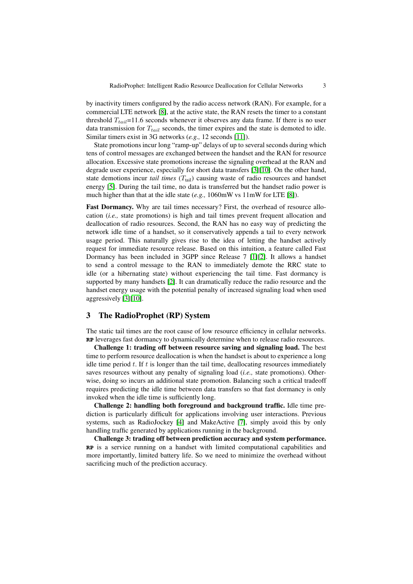by inactivity timers configured by the radio access network (RAN). For example, for a commercial LTE network [\[8\]](#page-10-2), at the active state, the RAN resets the timer to a constant threshold  $T_{tail}$ =11.6 seconds whenever it observes any data frame. If there is no user data transmission for T*tail* seconds, the timer expires and the state is demoted to idle. Similar timers exist in 3G networks (*e.g.,* 12 seconds [\[11\]](#page-10-7)).

State promotions incur long "ramp-up" delays of up to several seconds during which tens of control messages are exchanged between the handset and the RAN for resource allocation. Excessive state promotions increase the signaling overhead at the RAN and degrade user experience, especially for short data transfers [\[3\]](#page-10-8)[\[10\]](#page-10-1). On the other hand, state demotions incur *tail times*  $(T<sub>tail</sub>)$  causing waste of radio resources and handset energy [\[5\]](#page-10-0). During the tail time, no data is transferred but the handset radio power is much higher than that at the idle state (*e.g.,* 1060mW vs 11mW for LTE [\[8\]](#page-10-2)).

**Fast Dormancy.** Why are tail times necessary? First, the overhead of resource allocation (*i.e.,* state promotions) is high and tail times prevent frequent allocation and deallocation of radio resources. Second, the RAN has no easy way of predicting the network idle time of a handset, so it conservatively appends a tail to every network usage period. This naturally gives rise to the idea of letting the handset actively request for immediate resource release. Based on this intuition, a feature called Fast Dormancy has been included in 3GPP since Release 7 [\[1\]](#page-10-6)[\[2\]](#page-10-9). It allows a handset to send a control message to the RAN to immediately demote the RRC state to idle (or a hibernating state) without experiencing the tail time. Fast dormancy is supported by many handsets [\[2\]](#page-10-9). It can dramatically reduce the radio resource and the handset energy usage with the potential penalty of increased signaling load when used aggressively [\[3\]](#page-10-8)[\[10\]](#page-10-1).

# <span id="page-2-0"></span>**3 The RadioProphet (RP) System**

The static tail times are the root cause of low resource efficiency in cellular networks. **RP** leverages fast dormancy to dynamically determine when to release radio resources.

**Challenge 1: trading off between resource saving and signaling load.** The best time to perform resource deallocation is when the handset is about to experience a long idle time period  $t$ . If  $t$  is longer than the tail time, deallocating resources immediately saves resources without any penalty of signaling load (*i.e.,* state promotions). Otherwise, doing so incurs an additional state promotion. Balancing such a critical tradeoff requires predicting the idle time between data transfers so that fast dormancy is only invoked when the idle time is sufficiently long.

**Challenge 2: handling both foreground and background traffic.** Idle time prediction is particularly difficult for applications involving user interactions. Previous systems, such as RadioJockey [\[4\]](#page-10-4) and MakeActive [\[7\]](#page-10-5), simply avoid this by only handling traffic generated by applications running in the background.

**Challenge 3: trading off between prediction accuracy and system performance. RP** is a service running on a handset with limited computational capabilities and more importantly, limited battery life. So we need to minimize the overhead without sacrificing much of the prediction accuracy.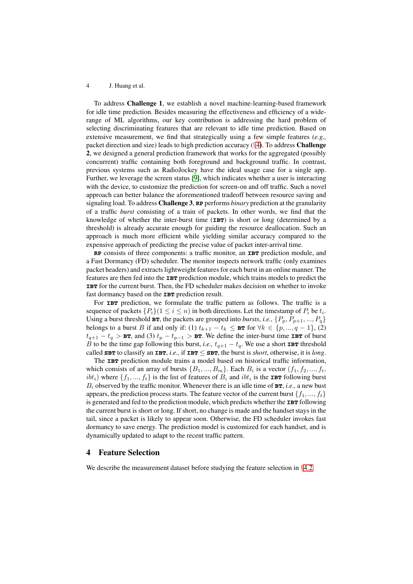To address **Challenge 1**, we establish a novel machine-learning-based framework for idle time prediction. Besides measuring the effectiveness and efficiency of a widerange of ML algorithms, our key contribution is addressing the hard problem of selecting discriminating features that are relevant to idle time prediction. Based on extensive measurement, we find that strategically using a few simple features (*e.g.,* packet direction and size) leads to high prediction accuracy (§[4\)](#page-3-0). To address **Challenge 2**, we designed a general prediction framework that works for the aggregated (possibly concurrent) traffic containing both foreground and background traffic. In contrast, previous systems such as RadioJockey have the ideal usage case for a single app. Further, we leverage the screen status [\[9\]](#page-10-10), which indicates whether a user is interacting with the device, to customize the prediction for screen-on and off traffic. Such a novel approach can better balance the aforementioned tradeoff between resource saving and signaling load. To address **Challenge 3**, **RP** performs *binary* prediction at the granularity of a traffic *burst* consisting of a train of packets. In other words, we find that the knowledge of whether the inter-burst time (**IBT**) is short or long (determined by a threshold) is already accurate enough for guiding the resource deallocation. Such an approach is much more efficient while yielding similar accuracy compared to the expensive approach of predicting the precise value of packet inter-arrival time.

**RP** consists of three components: a traffic monitor, an **IBT** prediction module, and a Fast Dormancy (FD) scheduler. The monitor inspects network traffic (only examines packet headers) and extracts lightweight features for each burst in an online manner. The features are then fed into the **IBT** prediction module, which trains models to predict the **IBT** for the current burst. Then, the FD scheduler makes decision on whether to invoke fast dormancy based on the **IBT** prediction result.

For **IBT** prediction, we formulate the traffic pattern as follows. The traffic is a sequence of packets  $\{P_i\}(1 \leq i \leq n)$  in both directions. Let the timestamp of  $P_i$  be  $t_i$ . Using a burst threshold  $BT$ , the packets are grouped into *bursts*, *i.e.*,  $\{P_p, P_{p+1}, ..., P_q\}$ belongs to a burst B if and only if: (1)  $t_{k+1} - t_k \leq \mathbf{B} \mathbf{r}$  for  $\forall k \in \{p, ..., q-1\}$ , (2)  $t_{q+1} - t_q >$  **BT**, and (3)  $t_p - t_{p-1} >$  **BT**. We define the inter-burst time **IBT** of burst B to be the time gap following this burst, *i.e.*,  $t_{q+1} - t_q$ . We use a short **IBT** threshold called **SBT** to classify an **IBT**, *i.e.*, if **IBT**  $\leq$  **SBT**, the burst is *short*, otherwise, it is *long*.

The **IBT** prediction module trains a model based on historical traffic information, which consists of an array of bursts  $\{B_1, ..., B_m\}$ . Each  $B_i$  is a vector  $(f_1, f_2, ..., f_t, f_m)$  $ibt_i$ ) where  $\{f_1, ..., f_t\}$  is the list of features of  $B_i$  and  $ibt_i$  is the **IBT** following burst  $B_i$  observed by the traffic monitor. Whenever there is an idle time of  $B$ **T**, *i.e.*, a new bust appears, the prediction process starts. The feature vector of the current burst  $\{f_1, ..., f_t\}$ is generated and fed to the prediction module, which predicts whether the **IBT** following the current burst is short or long. If short, no change is made and the handset stays in the tail, since a packet is likely to appear soon. Otherwise, the FD scheduler invokes fast dormancy to save energy. The prediction model is customized for each handset, and is dynamically updated to adapt to the recent traffic pattern.

# <span id="page-3-0"></span>**4 Feature Selection**

We describe the measurement dataset before studying the feature selection in §[4.2.](#page-4-0)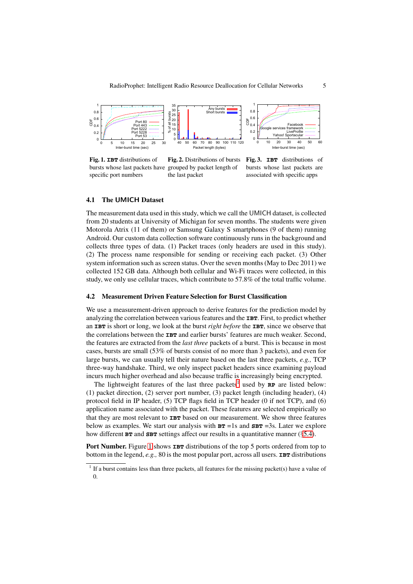

<span id="page-4-2"></span>**Fig. 1. IBT** distributions of bursts whose last packets have grouped by packet length of specific port numbers **Fig. 2.** Distributions of bursts the last packet

<span id="page-4-4"></span><span id="page-4-3"></span>**Fig. 3. IBT** distributions of bursts whose last packets are associated with specific apps

## **4.1 The UMICH Dataset**

The measurement data used in this study, which we call the UMICH dataset, is collected from 20 students at University of Michigan for seven months. The students were given Motorola Atrix (11 of them) or Samsung Galaxy S smartphones (9 of them) running Android. Our custom data collection software continuously runs in the background and collects three types of data. (1) Packet traces (only headers are used in this study). (2) The process name responsible for sending or receiving each packet. (3) Other system information such as screen status. Over the seven months (May to Dec 2011) we collected 152 GB data. Although both cellular and Wi-Fi traces were collected, in this study, we only use cellular traces, which contribute to 57.8% of the total traffic volume.

## <span id="page-4-0"></span>**4.2 Measurement Driven Feature Selection for Burst Classification**

We use a measurement-driven approach to derive features for the prediction model by analyzing the correlation between various features and the **IBT**. First, to predict whether an **IBT** is short or long, we look at the burst *right before* the **IBT**, since we observe that the correlations between the **IBT** and earlier bursts' features are much weaker. Second, the features are extracted from the *last three* packets of a burst. This is because in most cases, bursts are small (53% of bursts consist of no more than 3 packets), and even for large bursts, we can usually tell their nature based on the last three packets, *e.g.,* TCP three-way handshake. Third, we only inspect packet headers since examining payload incurs much higher overhead and also because traffic is increasingly being encrypted.

The lightweight features of the last three packets<sup>1</sup> used by  $\mathbf{RP}$  are listed below: (1) packet direction, (2) server port number, (3) packet length (including header), (4) protocol field in IP header, (5) TCP flags field in TCP header (0 if not TCP), and (6) application name associated with the packet. These features are selected empirically so that they are most relevant to **IBT** based on our measurement. We show three features below as examples. We start our analysis with  $BT = 1s$  and  $SBT = 3s$ . Later we explore how different **BT** and **SBT** settings affect our results in a quantitative manner (§[5.4\)](#page-6-0).

**Port Number.** Figure [1](#page-4-2) shows **IBT** distributions of the top 5 ports ordered from top to bottom in the legend,  $e.g., 80$  is the most popular port, across all users. **IBT** distributions

<span id="page-4-1"></span> $<sup>1</sup>$  If a burst contains less than three packets, all features for the missing packet(s) have a value of</sup> 0.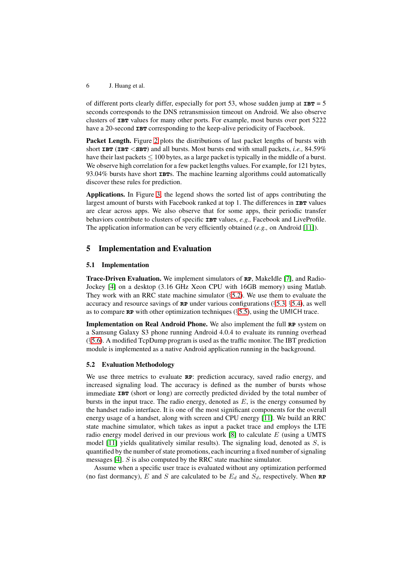of different ports clearly differ, especially for port 53, whose sudden jump at  $IBT = 5$ seconds corresponds to the DNS retransmission timeout on Android. We also observe clusters of **IBT** values for many other ports. For example, most bursts over port 5222 have a 20-second **IBT** corresponding to the keep-alive periodicity of Facebook.

**Packet Length.** Figure [2](#page-4-3) plots the distributions of last packet lengths of bursts with short **IBT** (**IBT** <**SBT**) and all bursts. Most bursts end with small packets, *i.e.,* 84.59% have their last packets  $\leq 100$  bytes, as a large packet is typically in the middle of a burst. We observe high correlation for a few packet lengths values. For example, for 121 bytes, 93.04% bursts have short **IBT**s. The machine learning algorithms could automatically discover these rules for prediction.

**Applications.** In Figure [3,](#page-4-4) the legend shows the sorted list of apps contributing the largest amount of bursts with Facebook ranked at top 1. The differences in **IBT** values are clear across apps. We also observe that for some apps, their periodic transfer behaviors contribute to clusters of specific **IBT** values, *e.g.,* Facebook and LiveProfile. The application information can be very efficiently obtained (*e.g.,* on Android [\[11\]](#page-10-7)).

# <span id="page-5-0"></span>**5 Implementation and Evaluation**

## <span id="page-5-2"></span>**5.1 Implementation**

**Trace-Driven Evaluation.** We implement simulators of **RP**, MakeIdle [\[7\]](#page-10-5), and Radio-Jockey [\[4\]](#page-10-4) on a desktop (3.16 GHz Xeon CPU with 16GB memory) using Matlab. They work with an RRC state machine simulator  $(\S$ [5.2\)](#page-5-1). We use them to evaluate the accuracy and resource savings of  $\mathbb{RP}$  under various configurations ( $\S 5.3$ ,  $\S 5.4$ ), as well as to compare **RP** with other optimization techniques (§[5.5\)](#page-7-0), using the UMICH trace.

**Implementation on Real Android Phone.** We also implement the full **RP** system on a Samsung Galaxy S3 phone running Android 4.0.4 to evaluate its running overhead (§[5.6\)](#page-8-0). A modified TcpDump program is used as the traffic monitor. The IBT prediction module is implemented as a native Android application running in the background.

## <span id="page-5-1"></span>**5.2 Evaluation Methodology**

We use three metrics to evaluate **RP**: prediction accuracy, saved radio energy, and increased signaling load. The accuracy is defined as the number of bursts whose immediate **IBT** (short or long) are correctly predicted divided by the total number of bursts in the input trace. The radio energy, denoted as  $E$ , is the energy consumed by the handset radio interface. It is one of the most significant components for the overall energy usage of a handset, along with screen and CPU energy [\[11\]](#page-10-7). We build an RRC state machine simulator, which takes as input a packet trace and employs the LTE radio energy model derived in our previous work  $[8]$  to calculate E (using a UMTS model [\[11\]](#page-10-7) yields qualitatively similar results). The signaling load, denoted as S, is quantified by the number of state promotions, each incurring a fixed number of signaling messages [\[4\]](#page-10-4). S is also computed by the RRC state machine simulator.

Assume when a specific user trace is evaluated without any optimization performed (no fast dormancy),  $E$  and  $S$  are calculated to be  $E_d$  and  $S_d$ , respectively. When **RP**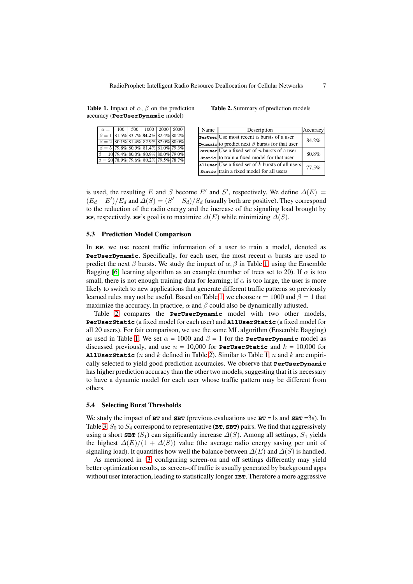<span id="page-6-2"></span>

| accuracy ( <b>PerUserDynamic</b> model) |                                   |  |  |                                                                                                                                              |  |  |  |  |  |
|-----------------------------------------|-----------------------------------|--|--|----------------------------------------------------------------------------------------------------------------------------------------------|--|--|--|--|--|
|                                         | $\alpha = 100$ 500 1000 2000 5000 |  |  |                                                                                                                                              |  |  |  |  |  |
|                                         |                                   |  |  | $\overline{z}$ as $\overline{z}$ as $\overline{z}$ as $\overline{z}$ as $\overline{z}$ as $\overline{z}$ as $\overline{z}$ as $\overline{z}$ |  |  |  |  |  |

**Table 1.** Impact of  $\alpha$ ,  $\beta$  on the prediction

| $\beta = 1$ 81.5% 83.7% 84.2% 82.4% 80.2%  |  |                                           |  |
|--------------------------------------------|--|-------------------------------------------|--|
|                                            |  | $\beta = 2$ 80.1% 81.4% 82.9% 82.0% 80.0% |  |
| $\beta = 5$ 79.8% 80.9% 81.4% 81.0% 79.3%  |  |                                           |  |
| $\beta = 10$ 79.4% 80.0% 80.9% 80.0% 79.0% |  |                                           |  |
| $\beta = 20$ 78.9% 79.6% 80.2% 79.5% 78.7% |  |                                           |  |

<span id="page-6-3"></span>**Table 2.** Summary of prediction models

| Name | Description                                                 | Accuracy |
|------|-------------------------------------------------------------|----------|
|      | <b>Peruser</b> Use most recent $\alpha$ bursts of a user    | 84.2%    |
|      | <b>Dynamic</b> to predict next $\beta$ bursts for that user |          |
|      | <b>Peruser</b> Use a fixed set of <i>n</i> bursts of a user | 80.8%    |
|      | static to train a fixed model for that user                 |          |
|      | Alluser Use a fixed set of $k$ bursts of all users          | 77.5%    |
|      | static train a fixed model for all users                    |          |

is used, the resulting E and S become E' and S', respectively. We define  $\Delta(E)$  =  $(E_d - E')/E_d$  and  $\Delta(S) = (S' - S_d)/S_d$  (usually both are positive). They correspond to the reduction of the radio energy and the increase of the signaling load brought by **RP**, respectively. **RP**'s goal is to maximize  $\Delta(E)$  while minimizing  $\Delta(S)$ .

## <span id="page-6-1"></span>**5.3 Prediction Model Comparison**

In **RP**, we use recent traffic information of a user to train a model, denoted as **PerUserDynamic**. Specifically, for each user, the most recent  $\alpha$  bursts are used to predict the next  $\beta$  bursts. We study the impact of  $\alpha$ ,  $\beta$  in Table [1,](#page-6-2) using the Ensemble Bagging [\[6\]](#page-10-11) learning algorithm as an example (number of trees set to 20). If  $\alpha$  is too small, there is not enough training data for learning; if  $\alpha$  is too large, the user is more likely to switch to new applications that generate different traffic patterns so previously learned rules may not be useful. Based on Table [1,](#page-6-2) we choose  $\alpha = 1000$  and  $\beta = 1$  that maximize the accuracy. In practice,  $\alpha$  and  $\beta$  could also be dynamically adjusted.

Table [2](#page-6-3) compares the **PerUserDynamic** model with two other models, **PerUserStatic** (a fixed model for each user) and **AllUserStatic** (a fixed model for all 20 users). For fair comparison, we use the same ML algorithm (Ensemble Bagging) as used in Table [1.](#page-6-2) We set  $\alpha = 1000$  and  $\beta = 1$  for the **PerUserDynamic** model as discussed previously, and use  $n = 10,000$  for **PerUserStatic** and  $k = 10,000$  for **AllUserStatic** (n and k defined in Table [2\)](#page-6-3). Similar to Table [1,](#page-6-2) n and k are empirically selected to yield good prediction accuracies. We observe that **PerUserDynamic** has higher prediction accuracy than the other two models, suggesting that it is necessary to have a dynamic model for each user whose traffic pattern may be different from others.

## <span id="page-6-0"></span>**5.4 Selecting Burst Thresholds**

We study the impact of  $BT$  and  $SBT$  (previous evaluations use  $BT = 1s$  and  $SBT = 3s$ ). In Table [3,](#page-7-1)  $S_0$  to  $S_4$  correspond to representative ( $BT$ ,  $SBT$ ) pairs. We find that aggressively using a short **SBT**  $(S_1)$  can significantly increase  $\Delta(S)$ . Among all settings,  $S_4$  yields the highest  $\Delta(E)/(1 + \Delta(S))$  value (the average radio energy saving per unit of signaling load). It quantifies how well the balance between  $\Delta(E)$  and  $\Delta(S)$  is handled.

As mentioned in §[3,](#page-2-0) configuring screen-on and off settings differently may yield better optimization results, as screen-off traffic is usually generated by background apps without user interaction, leading to statistically longer **IBT**. Therefore a more aggressive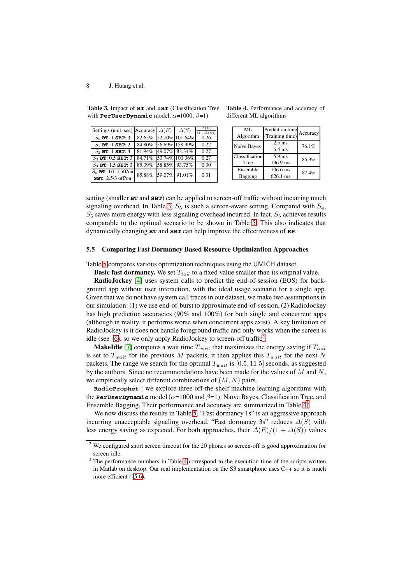<span id="page-7-1"></span>

| <b>Table 3.</b> Impact of <b>BT</b> and <b>IBT</b> (Classification Tree |
|-------------------------------------------------------------------------|
| with <b>PerUserDynamic</b> model, $\alpha=1000, \beta=1$ )              |

| Settings (unit: sec) Accuracy $\Delta(E)$ |                      | $\Delta(S)$           | $\Delta(E)$<br>$(1+\Delta(S))$ |
|-------------------------------------------|----------------------|-----------------------|--------------------------------|
| $S_0$ BT: 1 SBT: 3                        |                      | 82.65% 52.10% 101.64% | 0.26                           |
| $S_1$ BT: 1 SBT: 2                        |                      | 84.80% 56.69% 158.99% | 0.22                           |
| $S_2$ BT: 1 SBT: 4                        |                      | 81.94% 49.07% 83.34%  | 0.27                           |
| $S_3$ BT: 0.5 SBT: 3                      |                      | 84.71% 53.74% 100.36% | 0.27                           |
| $S_4$ BT: 1.5 SBT: 3                      | 85.39% 58.85% 93.75% |                       | 0.30                           |
| $S_5$ <b>BT:</b> 1/1.5 off/on             | 85.88% 59.07% 91.01% |                       | 0.31                           |
| SBT: 2.5/3 off/on                         |                      |                       |                                |

**Table 4.** Performance and accuracy of different ML algorithms

<span id="page-7-3"></span>

| ML.            | Prediction time  |          |  |
|----------------|------------------|----------|--|
| Algorithm      | (Training time)  | Accuracy |  |
| Naïve Bayes    | $2.5$ ms         | 76.1%    |  |
|                | $6.4 \text{ ms}$ |          |  |
| Classification | $5.9$ ms         | 85.9%    |  |
| <b>Tree</b>    | 136.9 ms         |          |  |
| Ensemble       | $106.6$ ms       | 87.4%    |  |
| Bagging        | 626.1 ms         |          |  |

setting (smaller **BT** and **SBT**) can be applied to screen-off traffic without incurring much signaling overhead. In Table [3,](#page-7-1)  $S_5$  is such a screen-aware setting. Compared with  $S_4$ ,  $S_5$  saves more energy with less signaling overhead incurred. In fact,  $S_5$  achieves results comparable to the optimal scenario to be shown in Table [5.](#page-8-1) This also indicates that dynamically changing **BT** and **SBT** can help improve the effectiveness of **RP**.

## <span id="page-7-0"></span>**5.5 Comparing Fast Dormancy Based Resource Optimization Approaches**

Table [5](#page-8-1) compares various optimization techniques using the UMICH dataset.

**Basic fast dormancy.** We set  $T_{tail}$  to a fixed value smaller than its original value.

**RadioJockey** [\[4\]](#page-10-4) uses system calls to predict the end-of-session (EOS) for background app without user interaction, with the ideal usage scenario for a single app. Given that we do not have system call traces in our dataset, we make two assumptions in our simulation: (1) we use end-of-burst to approximate end-of-session, (2) RadioJockey has high prediction accuracies (90% and 100%) for both single and concurrent apps (although in reality, it performs worse when concurrent apps exist). A key limitation of RadioJockey is it does not handle foreground traffic and only works when the screen is idle (see  $\S6$ ), so we only apply RadioJockey to screen-off traffic<sup>[2](#page-7-2)</sup>.

**MakeIdle** [\[7\]](#page-10-5) computes a wait time T*wait* that maximizes the energy saving if T*tail* is set to  $T_{wait}$  for the previous M packets, it then applies this  $T_{wait}$  for the next N packets. The range we search for the optimal  $T_{wait}$  is [0.5, 11.5] seconds, as suggested by the authors. Since no recommendations have been made for the values of  $M$  and  $N$ , we empirically select different combinations of  $(M, N)$  pairs.

**RadioProphet** : we explore three off-the-shelf machine learning algorithms with the **PerUserDynamic** model ( $\alpha$ =1000 and  $\beta$ =1): Naïve Bayes, Classification Tree, and Ensemble Bagging. Their performance and accuracy are summarized in Table  $4<sup>3</sup>$ .

We now discuss the results in Table [5.](#page-8-1) "Fast dormancy 1s" is an aggressive approach incurring unacceptable signaling overhead. "Fast dormancy 3s" reduces  $\Delta(S)$  with less energy saving as expected. For both approaches, their  $\Delta(E)/(1 + \Delta(S))$  values

<sup>&</sup>lt;sup>2</sup> We configured short screen timeout for the 20 phones so screen-off is good approximation for screen-idle.

<span id="page-7-4"></span><span id="page-7-2"></span><sup>&</sup>lt;sup>3</sup> The performance numbers in Table [4](#page-7-3) correspond to the execution time of the scripts written in Matlab on desktop. Our real implementation on the S3 smartphone uses C++ so it is much more efficient (*§*[5.6\)](#page-8-0).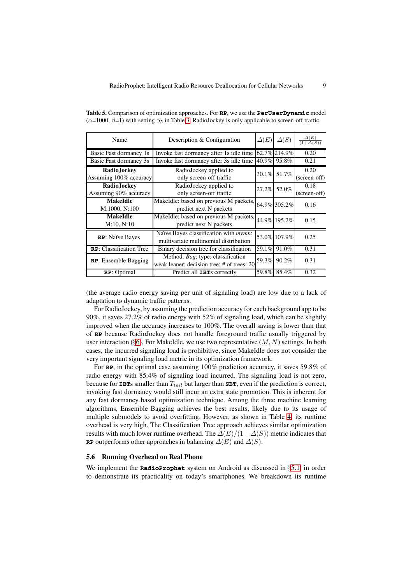| Name                                    | Description & Configuration                                                         |       | $\Delta(S)$  | $\frac{\Delta(E)}{(1+\Delta(S))}$ |
|-----------------------------------------|-------------------------------------------------------------------------------------|-------|--------------|-----------------------------------|
| Basic Fast dormancy 1s                  | Invoke fast dormancy after 1s idle time                                             |       | 62.7% 214.9% | 0.20                              |
| Basic Fast dormancy 3s                  | Invoke fast dormancy after 3s idle time                                             | 40.9% | 95.8%        | 0.21                              |
| Radio, Jockey<br>Assuming 100% accuracy | RadioJockey applied to<br>only screen-off traffic                                   | 30.1% | 51.7%        | 0.20<br>(screen-off)              |
| Radio,Jockev<br>Assuming 90% accuracy   | RadioJockey applied to<br>only screen-off traffic                                   | 27.2% | 52.0%        | 0.18<br>(screen-off)              |
| <b>MakeIdle</b><br>M:1000, N:100        | MakeIdle: based on previous M packets,<br>predict next N packets                    |       | 64.9% 305.2% | 0.16                              |
| <b>MakeIdle</b><br>M:10, N:10           | MakeIdle: based on previous M packets, $ 44.9\% 195.2\% $<br>predict next N packets |       |              | 0.15                              |
| RP: Naïve Bayes                         | Naïve Bayes classification with mvmn:<br>multivariate multinomial distribution      |       | 53.0% 107.9% | 0.25                              |
| <b>RP</b> : Classification Tree         | Binary decision tree for classification                                             | 59.1% | 91.0%        | 0.31                              |
| <b>RP:</b> Ensemble Bagging             | Method: Bag; type: classification<br>weak leaner: decision tree; # of trees: 20     | 59.3% | 90.2%        | 0.31                              |
| RP: Optimal                             | Predict all <b>IBT</b> s correctly                                                  | 59.8% | 85.4%        | 0.32                              |

<span id="page-8-1"></span>**Table 5.** Comparison of optimization approaches. For **RP**, we use the **PerUserDynamic** model  $(\alpha=1000, \beta=1)$  with setting  $S_5$  in Table [3.](#page-7-1) RadioJockey is only applicable to screen-off traffic.

(the average radio energy saving per unit of signaling load) are low due to a lack of adaptation to dynamic traffic patterns.

For RadioJockey, by assuming the prediction accuracy for each background app to be 90%, it saves 27.2% of radio energy with 52% of signaling load, which can be slightly improved when the accuracy increases to 100%. The overall saving is lower than that of **RP** because RadioJockey does not handle foreground traffic usually triggered by user interaction (§[6\)](#page-9-0). For MakeIdle, we use two representative  $(M, N)$  settings. In both cases, the incurred signaling load is prohibitive, since MakeIdle does not consider the very important signaling load metric in its optimization framework.

For **RP**, in the optimal case assuming 100% prediction accuracy, it saves 59.8% of radio energy with 85.4% of signaling load incurred. The signaling load is not zero, because for **IBT**s smaller than  $T_{tail}$  but larger than **SBT**, even if the prediction is correct, invoking fast dormancy would still incur an extra state promotion. This is inherent for any fast dormancy based optimization technique. Among the three machine learning algorithms, Ensemble Bagging achieves the best results, likely due to its usage of multiple submodels to avoid overfitting. However, as shown in Table [4,](#page-7-3) its runtime overhead is very high. The Classification Tree approach achieves similar optimization results with much lower runtime overhead. The  $\Delta(E)/(1+\Delta(S))$  metric indicates that **RP** outperforms other approaches in balancing  $\Delta(E)$  and  $\Delta(S)$ .

#### <span id="page-8-0"></span>**5.6 Running Overhead on Real Phone**

We implement the **RadioProphet** system on Android as discussed in §[5.1,](#page-5-2) in order to demonstrate its practicality on today's smartphones. We breakdown its runtime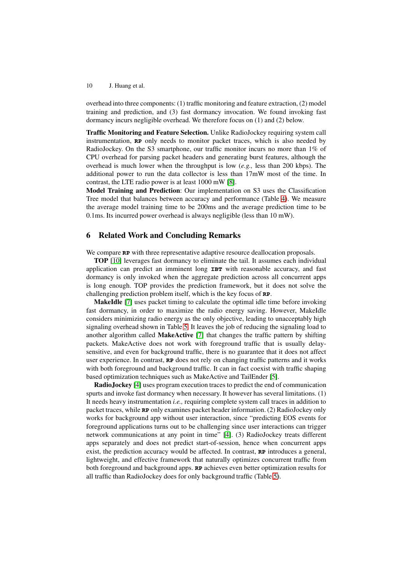overhead into three components: (1) traffic monitoring and feature extraction, (2) model training and prediction, and (3) fast dormancy invocation. We found invoking fast dormancy incurs negligible overhead. We therefore focus on (1) and (2) below.

**Traffic Monitoring and Feature Selection.** Unlike RadioJockey requiring system call instrumentation, **RP** only needs to monitor packet traces, which is also needed by RadioJockey. On the S3 smartphone, our traffic monitor incurs no more than 1% of CPU overhead for parsing packet headers and generating burst features, although the overhead is much lower when the throughput is low (*e.g.,* less than 200 kbps). The additional power to run the data collector is less than 17mW most of the time. In contrast, the LTE radio power is at least 1000 mW [\[8\]](#page-10-2).

**Model Training and Prediction**: Our implementation on S3 uses the Classification Tree model that balances between accuracy and performance (Table [4\)](#page-7-3). We measure the average model training time to be 200ms and the average prediction time to be 0.1ms. Its incurred power overhead is always negligible (less than 10 mW).

# <span id="page-9-0"></span>**6 Related Work and Concluding Remarks**

We compare **RP** with three representative adaptive resource deallocation proposals.

**TOP** [\[10\]](#page-10-1) leverages fast dormancy to eliminate the tail. It assumes each individual application can predict an imminent long **IBT** with reasonable accuracy, and fast dormancy is only invoked when the aggregate prediction across all concurrent apps is long enough. TOP provides the prediction framework, but it does not solve the challenging prediction problem itself, which is the key focus of **RP**.

**MakeIdle** [\[7\]](#page-10-5) uses packet timing to calculate the optimal idle time before invoking fast dormancy, in order to maximize the radio energy saving. However, MakeIdle considers minimizing radio energy as the only objective, leading to unacceptably high signaling overhead shown in Table [5.](#page-8-1) It leaves the job of reducing the signaling load to another algorithm called **MakeActive** [\[7\]](#page-10-5) that changes the traffic pattern by shifting packets. MakeActive does not work with foreground traffic that is usually delaysensitive, and even for background traffic, there is no guarantee that it does not affect user experience. In contrast, **RP** does not rely on changing traffic patterns and it works with both foreground and background traffic. It can in fact coexist with traffic shaping based optimization techniques such as MakeActive and TailEnder [\[5\]](#page-10-0).

**RadioJockey** [\[4\]](#page-10-4) uses program execution traces to predict the end of communication spurts and invoke fast dormancy when necessary. It however has several limitations. (1) It needs heavy instrumentation *i.e.,* requiring complete system call traces in addition to packet traces, while **RP** only examines packet header information. (2) RadioJockey only works for background app without user interaction, since "predicting EOS events for foreground applications turns out to be challenging since user interactions can trigger network communications at any point in time" [\[4\]](#page-10-4). (3) RadioJockey treats different apps separately and does not predict start-of-session, hence when concurrent apps exist, the prediction accuracy would be affected. In contrast, **RP** introduces a general, lightweight, and effective framework that naturally optimizes concurrent traffic from both foreground and background apps. **RP** achieves even better optimization results for all traffic than RadioJockey does for only background traffic (Table [5\)](#page-8-1).